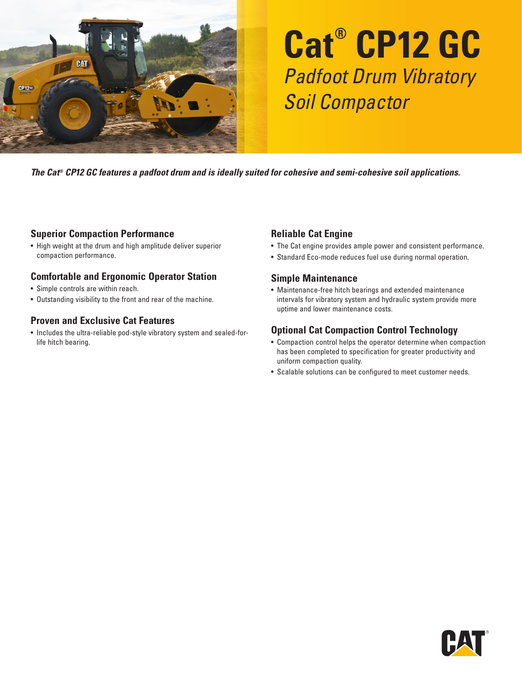

# **Cat® CP12 GC** Padfoot Drum Vibratory Soil Compactor

*The Cat® CP12 GC features a padfoot drum and is ideally suited for cohesive and semi-cohesive soil applications.*

#### **Superior Compaction Performance**

• High weight at the drum and high amplitude deliver superior compaction performance.

#### **Comfortable and Ergonomic Operator Station**

- Simple controls are within reach.
- Outstanding visibility to the front and rear of the machine.

#### **Proven and Exclusive Cat Features**

• Includes the ultra-reliable pod-style vibratory system and sealed-forlife hitch bearing.

#### **Reliable Cat Engine**

- The Cat engine provides ample power and consistent performance.
- Standard Eco-mode reduces fuel use during normal operation.

#### **Simple Maintenance**

• Maintenance-free hitch bearings and extended maintenance intervals for vibratory system and hydraulic system provide more uptime and lower maintenance costs.

#### **Optional Cat Compaction Control Technology**

- Compaction control helps the operator determine when compaction has been completed to specification for greater productivity and uniform compaction quality.
- Scalable solutions can be configured to meet customer needs.

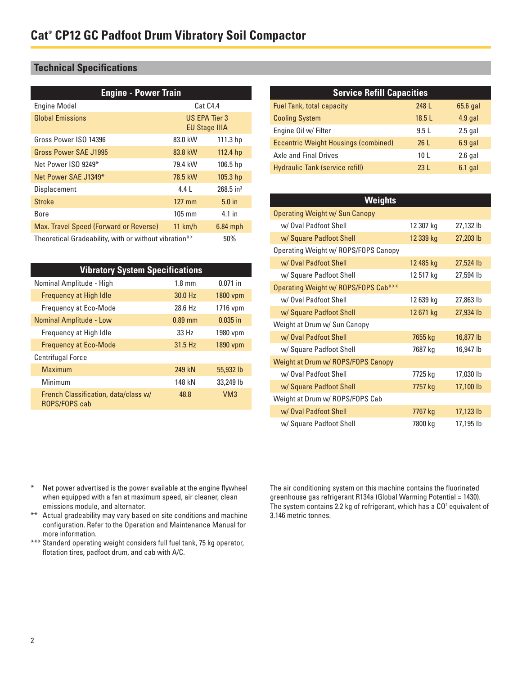### **Technical Specifications**

| <b>Engine - Power Train</b>                           |                                       |                         |
|-------------------------------------------------------|---------------------------------------|-------------------------|
| <b>Engine Model</b>                                   | Cat C4.4                              |                         |
| <b>Global Emissions</b>                               | US EPA Tier 3<br><b>EU Stage IIIA</b> |                         |
| Gross Power ISO 14396                                 | 83.0 kW                               | 111.3 hp                |
| Gross Power SAE J1995                                 | 83.8 kW                               | 112.4 <sub>hp</sub>     |
| Net Power ISO 9249*                                   | 79.4 kW                               | 106.5 <sub>hp</sub>     |
| Net Power SAE J1349*                                  | 78.5 kW                               | 105.3 <sub>hp</sub>     |
| Displacement                                          | 441                                   | $268.5$ in <sup>3</sup> |
| <b>Stroke</b>                                         | $127 \text{ mm}$                      | 5.0 <sub>in</sub>       |
| Bore                                                  | $105 \text{ mm}$                      | 4.1 in                  |
| Max. Travel Speed (Forward or Reverse)                | 11 km/h                               | $6.84$ mph              |
| Theoretical Gradeability, with or without vibration** |                                       | 50%                     |

| <b>Vibratory System Specifications</b>                |                  |                 |
|-------------------------------------------------------|------------------|-----------------|
| Nominal Amplitude - High                              | $1.8 \text{ mm}$ | $0.071$ in      |
| <b>Frequency at High Idle</b>                         | 30.0 Hz          | 1800 vpm        |
| <b>Frequency at Eco-Mode</b>                          | 28.6 Hz          | 1716 vpm        |
| <b>Nominal Amplitude - Low</b>                        | $0.89$ mm        | $0.035$ in      |
| Frequency at High Idle                                | 33H <sub>z</sub> | 1980 vpm        |
| <b>Frequency at Eco-Mode</b>                          | $31.5$ Hz        | 1890 vpm        |
| <b>Centrifugal Force</b>                              |                  |                 |
| Maximum                                               | 249 kN           | 55,932 lb       |
| Minimum                                               | 148 kN           | 33,249 lb       |
| French Classification, data/class w/<br>ROPS/FOPS cab | 48.8             | VM <sub>3</sub> |

| <b>Service Refill Capacities</b>            |                 |           |  |
|---------------------------------------------|-----------------|-----------|--|
| <b>Fuel Tank, total capacity</b>            | 248 L           | 65.6 gal  |  |
| <b>Cooling System</b>                       | 18.5L           | $4.9$ gal |  |
| Engine Oil w/ Filter                        | 9.5L            | $2.5$ gal |  |
| <b>Eccentric Weight Housings (combined)</b> | 26L             | $6.9$ gal |  |
| <b>Axle and Final Drives</b>                | 10 <sub>L</sub> | $2.6$ gal |  |
| <b>Hydraulic Tank (service refill)</b>      | 23L             | $6.1$ gal |  |

| Weights                              |           |           |
|--------------------------------------|-----------|-----------|
| Operating Weight w/ Sun Canopy       |           |           |
| w/ Oval Padfoot Shell                | 12 307 kg | 27,132 lb |
| w/ Square Padfoot Shell              | 12 339 kg | 27,203 lb |
| Operating Weight w/ ROPS/FOPS Canopy |           |           |
| w/ Oval Padfoot Shell                | 12 485 kg | 27,524 lb |
| w/ Square Padfoot Shell              | 12 517 kg | 27,594 lb |
| Operating Weight w/ ROPS/FOPS Cab*** |           |           |
| w/ Oval Padfoot Shell                | 12 639 kg | 27,863 lb |
| w/ Square Padfoot Shell              | 12671 kg  | 27,934 lb |
| Weight at Drum w/ Sun Canopy         |           |           |
| w/ Oval Padfoot Shell                | 7655 kg   | 16,877 lb |
| w/ Square Padfoot Shell              | 7687 kg   | 16,947 lb |
| Weight at Drum w/ ROPS/FOPS Canopy   |           |           |
| w/ Oval Padfoot Shell                | 7725 kg   | 17,030 lb |
| w/ Square Padfoot Shell              | 7757 kg   | 17,100 lb |
| Weight at Drum w/ ROPS/FOPS Cab      |           |           |
| w/ Oval Padfoot Shell                | 7767 kg   | 17,123 lb |
| w/ Square Padfoot Shell              | 7800 kg   | 17,195 lb |

- \* Net power advertised is the power available at the engine flywheel when equipped with a fan at maximum speed, air cleaner, clean emissions module, and alternator.
- \*\* Actual gradeability may vary based on site conditions and machine configuration. Refer to the Operation and Maintenance Manual for more information.
- \*\*\* Standard operating weight considers full fuel tank, 75 kg operator, flotation tires, padfoot drum, and cab with A/C.

The air conditioning system on this machine contains the fluorinated greenhouse gas refrigerant R134a (Global Warming Potential = 1430). The system contains 2.2 kg of refrigerant, which has a  $CO<sup>2</sup>$  equivalent of 3.146 metric tonnes.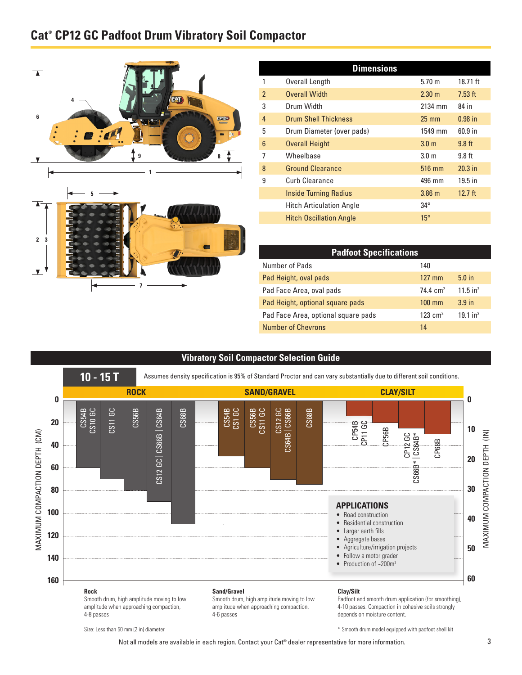## **Cat® CP12 GC Padfoot Drum Vibratory Soil Compactor**





| <b>Dimensions</b>        |                                 |                  |           |
|--------------------------|---------------------------------|------------------|-----------|
|                          | Overall Length                  | $5.70 \; m$      | 18.71 ft  |
| $\overline{\phantom{a}}$ | <b>Overall Width</b>            | $2.30 \text{ m}$ | $7.53$ ft |
| 3                        | Drum Width                      | 2134 mm          | 84 in     |
| $\overline{4}$           | <b>Drum Shell Thickness</b>     | $25 \text{ mm}$  | $0.98$ in |
| 5                        | Drum Diameter (over pads)       | 1549 mm          | $60.9$ in |
| 6                        | <b>Overall Height</b>           | 3.0 <sub>m</sub> | $9.8$ ft  |
| 7                        | Wheelbase                       | 3.0 <sub>m</sub> | $9.8$ ft  |
| 8                        | <b>Ground Clearance</b>         | 516 mm           | $20.3$ in |
| 9                        | Curb Clearance                  | 496 mm           | $19.5$ in |
|                          | <b>Inside Turning Radius</b>    | $3.86$ m         | $12.7$ ft |
|                          | <b>Hitch Articulation Angle</b> | $34^{\circ}$     |           |
|                          | <b>Hitch Oscillation Angle</b>  | $15^\circ$       |           |

| <b>Padfoot Specifications</b>       |                       |                        |  |
|-------------------------------------|-----------------------|------------------------|--|
| Number of Pads                      | 140                   |                        |  |
| Pad Height, oval pads               | $127$ mm              | 5.0 <sub>in</sub>      |  |
| Pad Face Area, oval pads            | $74.4 \text{ cm}^2$   | $11.5$ in <sup>2</sup> |  |
| Pad Height, optional square pads    | $100 \text{ mm}$      | 3.9 <sub>in</sub>      |  |
| Pad Face Area, optional square pads | $123$ cm <sup>2</sup> | $19.1$ in <sup>2</sup> |  |
| <b>Number of Chevrons</b>           | 14                    |                        |  |

\* Smooth drum model equipped with padfoot shell kit

#### **Vibratory Soil Compactor Selection Guide**



Size: Less than 50 mm (2 in) diameter

Not all models are available in each region. Contact your Cat® dealer representative for more information.